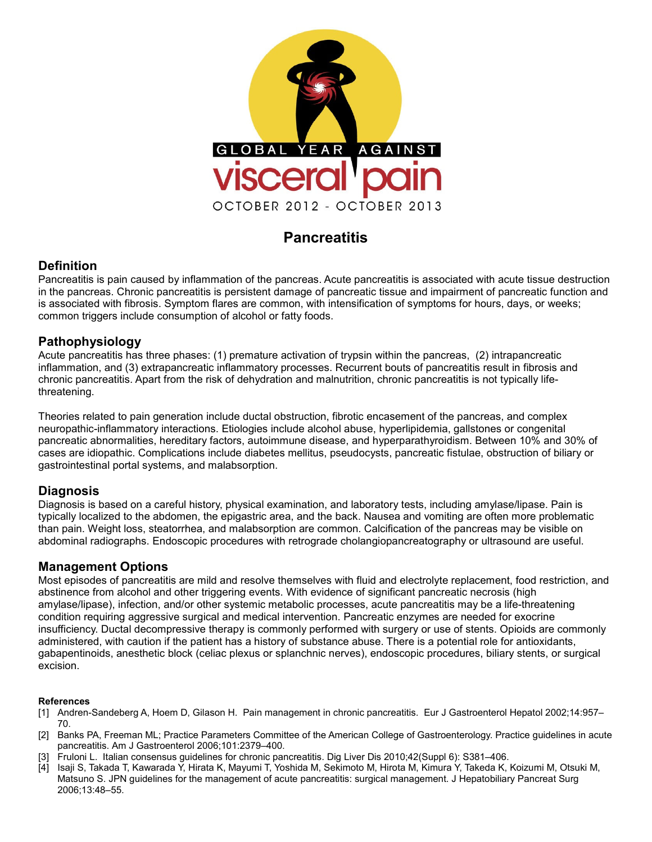

# **Pancreatitis**

# **Definition**

Pancreatitis is pain caused by inflammation of the pancreas. Acute pancreatitis is associated with acute tissue destruction in the pancreas. Chronic pancreatitis is persistent damage of pancreatic tissue and impairment of pancreatic function and is associated with fibrosis. Symptom flares are common, with intensification of symptoms for hours, days, or weeks; common triggers include consumption of alcohol or fatty foods.

# **Pathophysiology**

Acute pancreatitis has three phases: (1) premature activation of trypsin within the pancreas, (2) intrapancreatic inflammation, and (3) extrapancreatic inflammatory processes. Recurrent bouts of pancreatitis result in fibrosis and chronic pancreatitis. Apart from the risk of dehydration and malnutrition, chronic pancreatitis is not typically lifethreatening.

Theories related to pain generation include ductal obstruction, fibrotic encasement of the pancreas, and complex neuropathic-inflammatory interactions. Etiologies include alcohol abuse, hyperlipidemia, gallstones or congenital pancreatic abnormalities, hereditary factors, autoimmune disease, and hyperparathyroidism. Between 10% and 30% of cases are idiopathic. Complications include diabetes mellitus, pseudocysts, pancreatic fistulae, obstruction of biliary or gastrointestinal portal systems, and malabsorption.

### **Diagnosis**

Diagnosis is based on a careful history, physical examination, and laboratory tests, including amylase/lipase. Pain is typically localized to the abdomen, the epigastric area, and the back. Nausea and vomiting are often more problematic than pain. Weight loss, steatorrhea, and malabsorption are common. Calcification of the pancreas may be visible on abdominal radiographs. Endoscopic procedures with retrograde cholangiopancreatography or ultrasound are useful.

### **Management Options**

Most episodes of pancreatitis are mild and resolve themselves with fluid and electrolyte replacement, food restriction, and abstinence from alcohol and other triggering events. With evidence of significant pancreatic necrosis (high amylase/lipase), infection, and/or other systemic metabolic processes, acute pancreatitis may be a life-threatening condition requiring aggressive surgical and medical intervention. Pancreatic enzymes are needed for exocrine insufficiency. Ductal decompressive therapy is commonly performed with surgery or use of stents. Opioids are commonly administered, with caution if the patient has a history of substance abuse. There is a potential role for antioxidants, gabapentinoids, anesthetic block (celiac plexus or splanchnic nerves), endoscopic procedures, biliary stents, or surgical excision.

#### **References**

- [1] Andren-Sandeberg A, Hoem D, Gilason H. Pain management in chronic pancreatitis. Eur J Gastroenterol Hepatol 2002;14:957– 70.
- [2] Banks PA, Freeman ML; Practice Parameters Committee of the American College of Gastroenterology. Practice guidelines in acute pancreatitis. Am J Gastroenterol 2006;101:2379–400.
- [3] Fruloni L. Italian consensus guidelines for chronic pancreatitis. Dig Liver Dis 2010;42(Suppl 6): S381–406.
- [4] Isaji S, Takada T, Kawarada Y, Hirata K, Mayumi T, Yoshida M, Sekimoto M, Hirota M, Kimura Y, Takeda K, Koizumi M, Otsuki M, Matsuno S. JPN guidelines for the management of acute pancreatitis: surgical management. J Hepatobiliary Pancreat Surg 2006;13:48–55.